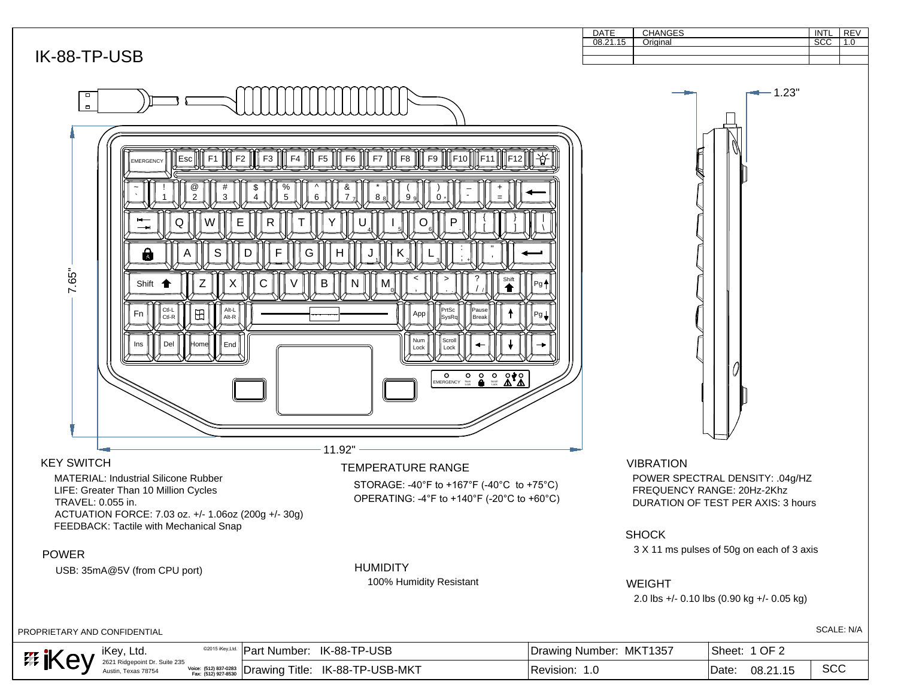